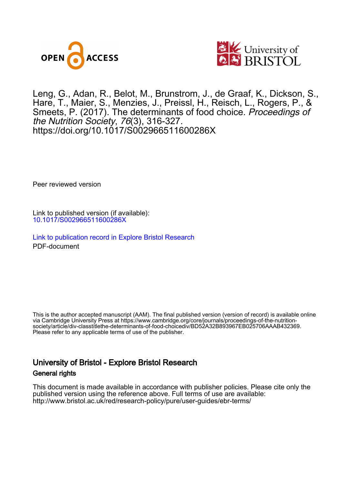



Leng, G., Adan, R., Belot, M. , Brunstrom, J., de Graaf, K., Dickson, S., Hare, T., Maier, S., Menzies, J., Preissl, H., Reisch, L., Rogers, P., & Smeets, P. (2017). The determinants of food choice. *Proceedings of* the Nutrition Society, 76(3), 316-327. <https://doi.org/10.1017/S002966511600286X>

Peer reviewed version

Link to published version (if available): [10.1017/S002966511600286X](https://doi.org/10.1017/S002966511600286X)

[Link to publication record in Explore Bristol Research](https://research-information.bris.ac.uk/en/publications/638d6c05-5e33-4c64-85e0-c5e566f6382d) PDF-document

This is the author accepted manuscript (AAM). The final published version (version of record) is available online via Cambridge University Press at https://www.cambridge.org/core/journals/proceedings-of-the-nutritionsociety/article/div-classtitlethe-determinants-of-food-choicediv/BD52A32B893967EB025706AAAB432369. Please refer to any applicable terms of use of the publisher.

# University of Bristol - Explore Bristol Research General rights

This document is made available in accordance with publisher policies. Please cite only the published version using the reference above. Full terms of use are available: http://www.bristol.ac.uk/red/research-policy/pure/user-guides/ebr-terms/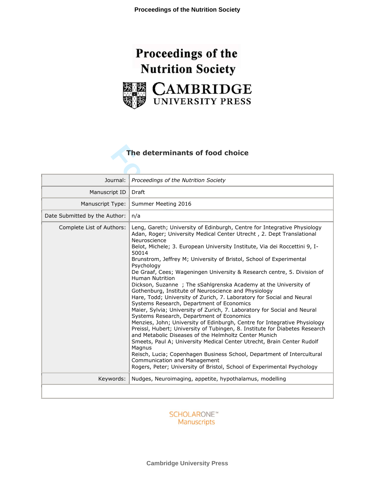



# **The determinants of food choice**

| The determinants of food choice |                                                                                                                                                                                                                                                                                                                                                                                                                                                                                                                                                                                                                                                                                                                                                                                                                                                                                                                                                                                                                                                                                                                                                                                                                                                                                                                     |
|---------------------------------|---------------------------------------------------------------------------------------------------------------------------------------------------------------------------------------------------------------------------------------------------------------------------------------------------------------------------------------------------------------------------------------------------------------------------------------------------------------------------------------------------------------------------------------------------------------------------------------------------------------------------------------------------------------------------------------------------------------------------------------------------------------------------------------------------------------------------------------------------------------------------------------------------------------------------------------------------------------------------------------------------------------------------------------------------------------------------------------------------------------------------------------------------------------------------------------------------------------------------------------------------------------------------------------------------------------------|
| Journal:                        | Proceedings of the Nutrition Society                                                                                                                                                                                                                                                                                                                                                                                                                                                                                                                                                                                                                                                                                                                                                                                                                                                                                                                                                                                                                                                                                                                                                                                                                                                                                |
| Manuscript ID                   | Draft                                                                                                                                                                                                                                                                                                                                                                                                                                                                                                                                                                                                                                                                                                                                                                                                                                                                                                                                                                                                                                                                                                                                                                                                                                                                                                               |
| Manuscript Type:                | Summer Meeting 2016                                                                                                                                                                                                                                                                                                                                                                                                                                                                                                                                                                                                                                                                                                                                                                                                                                                                                                                                                                                                                                                                                                                                                                                                                                                                                                 |
| Date Submitted by the Author:   | n/a                                                                                                                                                                                                                                                                                                                                                                                                                                                                                                                                                                                                                                                                                                                                                                                                                                                                                                                                                                                                                                                                                                                                                                                                                                                                                                                 |
| Complete List of Authors:       | Leng, Gareth; University of Edinburgh, Centre for Integrative Physiology<br>Adan, Roger; University Medical Center Utrecht, 2. Dept Translational<br>Neuroscience<br>Belot, Michele; 3. European University Institute, Via dei Roccettini 9, I-<br>50014<br>Brunstrom, Jeffrey M; University of Bristol, School of Experimental<br>Psychology<br>De Graaf, Cees; Wageningen University & Research centre, 5. Division of<br>Human Nutrition<br>Dickson, Suzanne; The sSahlgrenska Academy at the University of<br>Gothenburg, Institute of Neuroscience and Physiology<br>Hare, Todd; University of Zurich, 7. Laboratory for Social and Neural<br>Systems Research, Department of Economics<br>Maier, Sylvia; University of Zurich, 7. Laboratory for Social and Neural<br>Systems Research, Department of Economics<br>Menzies, John; University of Edinburgh, Centre for Integrative Physiology<br>Preissl, Hubert; University of Tubingen, 8. Institute for Diabetes Research<br>and Metabolic Diseases of the Helmholtz Center Munich<br>Smeets, Paul A; University Medical Center Utrecht, Brain Center Rudolf<br>Magnus<br>Reisch, Lucia; Copenhagen Business School, Department of Intercultural<br>Communication and Management<br>Rogers, Peter; University of Bristol, School of Experimental Psychology |
| Keywords:                       | Nudges, Neuroimaging, appetite, hypothalamus, modelling                                                                                                                                                                                                                                                                                                                                                                                                                                                                                                                                                                                                                                                                                                                                                                                                                                                                                                                                                                                                                                                                                                                                                                                                                                                             |
|                                 |                                                                                                                                                                                                                                                                                                                                                                                                                                                                                                                                                                                                                                                                                                                                                                                                                                                                                                                                                                                                                                                                                                                                                                                                                                                                                                                     |

**SCHOLARONE™** Manuscripts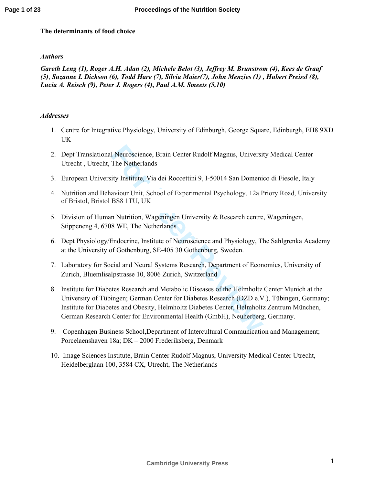# **The determinants of food choice**

# *Authors*

*Gareth Leng (1), Roger A.H. Adan (2), Michele Belot (3), Jeffrey M. Brunstrom (4), Kees de Graaf (5)* , *Suzanne L Dickson (6), Todd Hare (7), Silvia Maier(7), John Menzies (1) , Hubert Preissl (8), Lucia A. Reisch (9), Peter J. Rogers (4)***,** *Paul A.M. Smeets (5,10)* 

# *Addresses*

- 1. Centre for Integrative Physiology, University of Edinburgh, George Square, Edinburgh, EH8 9XD UK
- 2. Dept Translational Neuroscience, Brain Center Rudolf Magnus, University Medical Center Utrecht , Utrecht, The Netherlands
- 3. European University Institute, Via dei Roccettini 9, I-50014 San Domenico di Fiesole, Italy
- 4. Nutrition and Behaviour Unit, School of Experimental Psychology, 12a Priory Road, University of Bristol, Bristol BS8 1TU, UK
- 5. Division of Human Nutrition, Wageningen University & Research centre, Wageningen, Stippeneng 4, 6708 WE, The Netherlands
- 6. Dept Physiology/Endocrine, Institute of Neuroscience and Physiology, The Sahlgrenka Academy at the University of Gothenburg, SE-405 30 Gothenburg, Sweden.
- 7. Laboratory for Social and Neural Systems Research, Department of Economics, University of Zurich, Bluemlisalpstrasse 10, 8006 Zurich, Switzerland
- 1 Neuroscience, Brain Center Rudolf Magnus, Universit<br>The Netherlands<br>ity Institute, Via dei Roccettini 9, 1-50014 San Domenia<br>aviour Unit, School of Experimental Psychology, 12a P<br>BS8 1TU, UK<br>n Nutrition, Wageningen Unive 8. Institute for Diabetes Research and Metabolic Diseases of the Helmholtz Center Munich at the University of Tübingen; German Center for Diabetes Research (DZD e.V.), Tübingen, Germany; Institute for Diabetes and Obesity, Helmholtz Diabetes Center, Helmholtz Zentrum München, German Research Center for Environmental Health (GmbH), Neuherberg, Germany.
- 9. Copenhagen Business School,Department of Intercultural Communication and Management; Porcelaenshaven 18a; DK – 2000 Frederiksberg, Denmark
- 10. Image Sciences Institute, Brain Center Rudolf Magnus, University Medical Center Utrecht, Heidelberglaan 100, 3584 CX, Utrecht, The Netherlands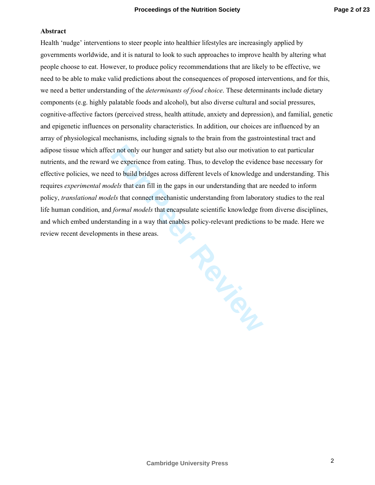### **Abstract**

Health 'nudge' interventions to steer people into healthier lifestyles are increasingly applied by governments worldwide, and it is natural to look to such approaches to improve health by altering what people choose to eat. However, to produce policy recommendations that are likely to be effective, we need to be able to make valid predictions about the consequences of proposed interventions, and for this, we need a better understanding of the *determinants of food choice*. These determinants include dietary components (e.g. highly palatable foods and alcohol), but also diverse cultural and social pressures, cognitive-affective factors (perceived stress, health attitude, anxiety and depression), and familial, genetic and epigenetic influences on personality characteristics. In addition, our choices are influenced by an array of physiological mechanisms, including signals to the brain from the gastrointestinal tract and adipose tissue which affect not only our hunger and satiety but also our motivation to eat particular nutrients, and the reward we experience from eating. Thus, to develop the evidence base necessary for effective policies, we need to build bridges across different levels of knowledge and understanding. This requires *experimental models* that can fill in the gaps in our understanding that are needed to inform policy, *translational models* that connect mechanistic understanding from laboratory studies to the real life human condition, and *formal models* that encapsulate scientific knowledge from diverse disciplines, and which embed understanding in a way that enables policy-relevant predictions to be made. Here we review recent developments in these areas.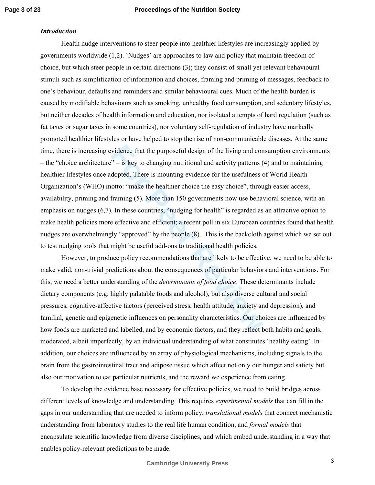# *Introduction*

vidence that the purposeful design of the living and con<br>
" – is key to changing nutritional and activity patterns (<br>
dopted. There is mounting evidence for the usefulness of<br>
otto: "make the healthier choice the easy choi Health nudge interventions to steer people into healthier lifestyles are increasingly applied by governments worldwide (1,2). 'Nudges' are approaches to law and policy that maintain freedom of choice, but which steer people in certain directions (3); they consist of small yet relevant behavioural stimuli such as simplification of information and choices, framing and priming of messages, feedback to one's behaviour, defaults and reminders and similar behavioural cues. Much of the health burden is caused by modifiable behaviours such as smoking, unhealthy food consumption, and sedentary lifestyles, but neither decades of health information and education, nor isolated attempts of hard regulation (such as fat taxes or sugar taxes in some countries), nor voluntary self-regulation of industry have markedly promoted healthier lifestyles or have helped to stop the rise of non-communicable diseases. At the same time, there is increasing evidence that the purposeful design of the living and consumption environments – the "choice architecture" – is key to changing nutritional and activity patterns (4) and to maintaining healthier lifestyles once adopted. There is mounting evidence for the usefulness of World Health Organization's (WHO) motto: "make the healthier choice the easy choice", through easier access, availability, priming and framing (5). More than 150 governments now use behavioral science, with an emphasis on nudges (6,7). In these countries, "nudging for health" is regarded as an attractive option to make health policies more effective and efficient; a recent poll in six European countries found that health nudges are overwhelmingly "approved" by the people (8). This is the backcloth against which we set out to test nudging tools that might be useful add-ons to traditional health policies.

However, to produce policy recommendations that are likely to be effective, we need to be able to make valid, non-trivial predictions about the consequences of particular behaviors and interventions. For this, we need a better understanding of the *determinants of food choice*. These determinants include dietary components (e.g. highly palatable foods and alcohol), but also diverse cultural and social pressures, cognitive-affective factors (perceived stress, health attitude, anxiety and depression), and familial, genetic and epigenetic influences on personality characteristics. Our choices are influenced by how foods are marketed and labelled, and by economic factors, and they reflect both habits and goals, moderated, albeit imperfectly, by an individual understanding of what constitutes 'healthy eating'. In addition, our choices are influenced by an array of physiological mechanisms, including signals to the brain from the gastrointestinal tract and adipose tissue which affect not only our hunger and satiety but also our motivation to eat particular nutrients, and the reward we experience from eating.

To develop the evidence base necessary for effective policies, we need to build bridges across different levels of knowledge and understanding. This requires *experimental models* that can fill in the gaps in our understanding that are needed to inform policy, *translational models* that connect mechanistic understanding from laboratory studies to the real life human condition, and *formal models* that encapsulate scientific knowledge from diverse disciplines, and which embed understanding in a way that enables policy-relevant predictions to be made.

3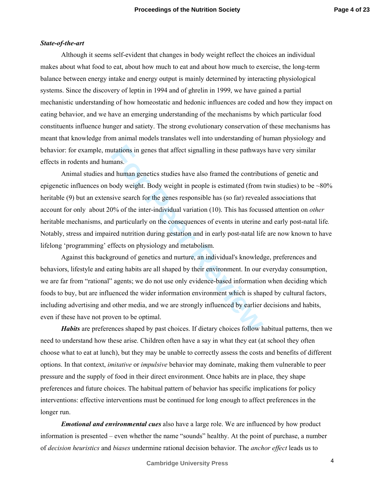# *State-of-the-art*

Although it seems self-evident that changes in body weight reflect the choices an individual makes about what food to eat, about how much to eat and about how much to exercise, the long-term balance between energy intake and energy output is mainly determined by interacting physiological systems. Since the discovery of leptin in 1994 and of ghrelin in 1999, we have gained a partial mechanistic understanding of how homeostatic and hedonic influences are coded and how they impact on eating behavior, and we have an emerging understanding of the mechanisms by which particular food constituents influence hunger and satiety. The strong evolutionary conservation of these mechanisms has meant that knowledge from animal models translates well into understanding of human physiology and behavior: for example, mutations in genes that affect signalling in these pathways have very similar effects in rodents and humans.

trations in genes that affect signalling in these pathways<br>hans.<br>
In d human genetics studies have also framed the contribu<br>
body weight. Body weight in people is estimated (from<br>
sive search for the genes responsible has Animal studies and human genetics studies have also framed the contributions of genetic and epigenetic influences on body weight. Body weight in people is estimated (from twin studies) to be  $\sim 80\%$ heritable (9) but an extensive search for the genes responsible has (so far) revealed associations that account for only about 20% of the inter-individual variation (10). This has focussed attention on *other* heritable mechanisms, and particularly on the consequences of events in uterine and early post-natal life*.* Notably, stress and impaired nutrition during gestation and in early post-natal life are now known to have lifelong 'programming' effects on physiology and metabolism.

Against this background of genetics and nurture, an individual's knowledge, preferences and behaviors, lifestyle and eating habits are all shaped by their environment. In our everyday consumption, we are far from "rational" agents; we do not use only evidence-based information when deciding which foods to buy, but are influenced the wider information environment which is shaped by cultural factors, including advertising and other media, and we are strongly influenced by earlier decisions and habits, even if these have not proven to be optimal.

*Habits* are preferences shaped by past choices. If dietary choices follow habitual patterns, then we need to understand how these arise. Children often have a say in what they eat (at school they often choose what to eat at lunch), but they may be unable to correctly assess the costs and benefits of different options. In that context, *imitative* or *impulsive* behavior may dominate, making them vulnerable to peer pressure and the supply of food in their direct environment. Once habits are in place, they shape preferences and future choices. The habitual pattern of behavior has specific implications for policy interventions: effective interventions must be continued for long enough to affect preferences in the longer run.

*Emotional and environmental cues* also have a large role. We are influenced by how product information is presented – even whether the name "sounds" healthy. At the point of purchase, a number of *decision heuristics* and *biases* undermine rational decision behavior. The *anchor effect* leads us to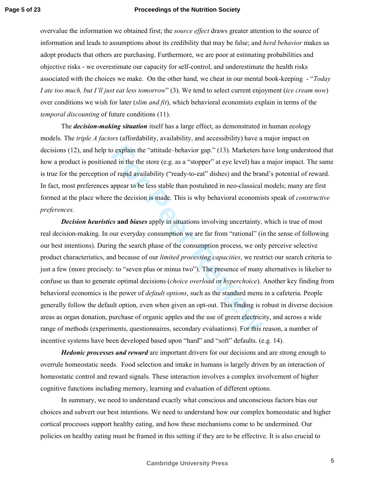overvalue the information we obtained first; the *source effect* draws greater attention to the source of information and leads to assumptions about its credibility that may be false; and *herd behavior* makes us adopt products that others are purchasing. Furthermore, we are poor at estimating probabilities and objective risks - we overestimate our capacity for self-control, and underestimate the health risks associated with the choices we make. On the other hand, we cheat in our mental book-keeping - "*Today I ate too much, but I'll just eat less tomorrow*" (3). We tend to select current enjoyment (*ice cream now*) over conditions we wish for later (*slim and fit*), which behavioral economists explain in terms of the *temporal discounting* of future conditions (11).

The *decision-making situation* itself has a large effect, as demonstrated in human ecology models. The *triple A factors* (affordability, availability, and accessibility) have a major impact on decisions (12), and help to explain the "attitude–behavior gap." (13). Marketers have long understood that how a product is positioned in the the store (e.g. as a "stopper" at eye level) has a major impact. The same is true for the perception of rapid availability ("ready-to-eat" dishes) and the brand's potential of reward. In fact, most preferences appear to be less stable than postulated in neo-classical models; many are first formed at the place where the decision is made. This is why behavioral economists speak of *constructive preferences*.

o explain the "attitude-behavior gap." (13). Marketers hed in the the store (e.g. as a "stopper" at eye level) has a of rapid availability ("ready-to-eat" dishes) and the brare appear to be less stable than postulated in n *Decision heuristics* **and** *biases* apply in situations involving uncertainty, which is true of most real decision-making. In our everyday consumption we are far from "rational" (in the sense of following our best intentions). During the search phase of the consumption process, we only perceive selective product characteristics, and because of our *limited processing capacities* , we restrict our search criteria to just a few (more precisely: to "seven plus or minus two"). The presence of many alternatives is likelier to confuse us than to generate optimal decisions (*choice overload* or *hyperchoice*). Another key finding from behavioral economics is the power of *default options*, such as the standard menu in a cafeteria. People generally follow the default option, even when given an opt-out. This finding is robust in diverse decision areas as organ donation, purchase of organic apples and the use of green electricity, and across a wide range of methods (experiments, questionnaires, secondary evaluations). For this reason, a number of incentive systems have been developed based upon "hard" and "soft" defaults. (e.g. 14).

*Hedonic processes and reward* are important drivers for our decisions and are strong enough to overrule homeostatic needs. Food selection and intake in humans is largely driven by an interaction of homeostatic control and reward signals. These interaction involves a complex involvement of higher cognitive functions including memory, learning and evaluation of different options.

In summary, we need to understand exactly what conscious and unconscious factors bias our choices and subvert our best intentions. We need to understand how our complex homeostatic and higher cortical processes support healthy eating, and how these mechanisms come to be undermined. Our policies on healthy eating must be framed in this setting if they are to be effective. It is also crucial to

5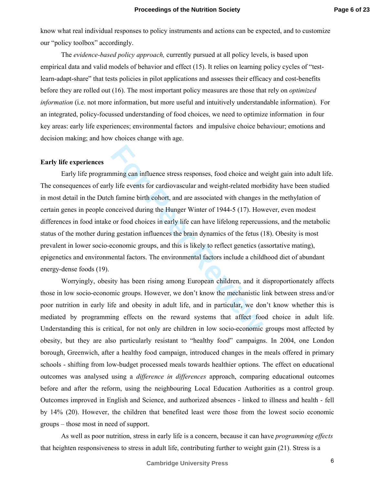know what real individual responses to policy instruments and actions can be expected, and to customize our "policy toolbox" accordingly.

The *evidence-based policy approach,* currently pursued at all policy levels, is based upon empirical data and valid models of behavior and effect (15). It relies on learning policy cycles of "testlearn-adapt-share" that tests policies in pilot applications and assesses their efficacy and cost-benefits before they are rolled out (16). The most important policy measures are those that rely on *optimized information* (i.e. not more information, but more useful and intuitively understandable information). For an integrated, policy-focussed understanding of food choices, we need to optimize information in four key areas: early life experiences; environmental factors and impulsive choice behaviour; emotions and decision making; and how choices change with age.

### **Early life experiences**

Iming can influence stress responses, food choice and we y life events for cardiovascular and weight-related mort h famine birth cohort, and are associated with changes inceived during the Hunger Winter of 1944-5 (17). How Early life programming can influence stress responses, food choice and weight gain into adult life. The consequences of early life events for cardiovascular and weight-related morbidity have been studied in most detail in the Dutch famine birth cohort, and are associated with changes in the methylation of certain genes in people conceived during the Hunger Winter of 1944-5 (17). However, even modest differences in food intake or food choices in early life can have lifelong repercussions, and the metabolic status of the mother during gestation influences the brain dynamics of the fetus (18). Obesity is most prevalent in lower socio-economic groups, and this is likely to reflect genetics (assortative mating), epigenetics and environmental factors. The environmental factors include a childhood diet of abundant energy-dense foods (19).

Worryingly, obesity has been rising among European children, and it disproportionately affects those in low socio-economic groups. However, we don't know the mechanistic link between stress and/or poor nutrition in early life and obesity in adult life, and in particular, we don't know whether this is mediated by programming effects on the reward systems that affect food choice in adult life. Understanding this is critical, for not only are children in low socio-economic groups most affected by obesity, but they are also particularly resistant to "healthy food" campaigns. In 2004, one London borough, Greenwich, after a healthy food campaign, introduced changes in the meals offered in primary schools - shifting from low-budget processed meals towards healthier options. The effect on educational outcomes was analysed using a *difference in differences* approach, comparing educational outcomes before and after the reform, using the neighbouring Local Education Authorities as a control group. Outcomes improved in English and Science, and authorized absences - linked to illness and health - fell by 14% (20). However, the children that benefited least were those from the lowest socio economic groups – those most in need of support.

As well as poor nutrition, stress in early life is a concern, because it can have *programming effects*  that heighten responsiveness to stress in adult life, contributing further to weight gain (21). Stress is a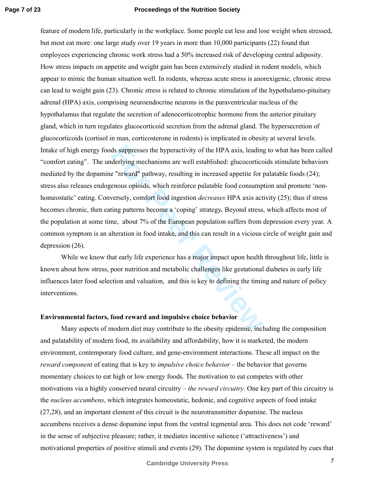ds suppresses the hyperactivity of the HPA axis, leading<br>derlying mechanisms are well established: glucocorticc<br>e "reward" pathway, resulting in increased appetite for jenous opioids, which reinforce palatable food consump feature of modern life, particularly in the workplace. Some people eat less and lose weight when stressed, but most eat more: one large study over 19 years in more than 10,000 participants (22) found that employees experiencing chronic work stress had a 50% increased risk of developing central adiposity. How stress impacts on appetite and weight gain has been extensively studied in rodent models, which appear to mimic the human situation well. In rodents, whereas acute stress is anorexigenic, chronic stress can lead to weight gain (23). Chronic stress is related to chronic stimulation of the hypothalamo-pituitary adrenal (HPA) axis, comprising neuroendocrine neurons in the paraventricular nucleus of the hypothalamus that regulate the secretion of adenocorticotrophic hormone from the anterior pituitary gland, which in turn regulates glucocorticoid secretion from the adrenal gland. The hypersecretion of glucocorticoids (cortisol in man, corticosterone in rodents) is implicated in obesity at several levels. Intake of high energy foods suppresses the hyperactivity of the HPA axis, leading to what has been called "comfort eating". The underlying mechanisms are well established: glucocorticoids stimulate behaviors mediated by the dopamine "reward" pathway, resulting in increased appetite for palatable foods (24); stress also releases endogenous opioids, which reinforce palatable food consumption and promote 'nonhomeostatic' eating. Conversely, comfort food ingestion *decreases* HPA axis activity (25); thus if stress becomes chronic, then eating patterns become a 'coping' strategy*.* Beyond stress, which affects most of the population at some time, about 7% of the European population suffers from depression every year. A common symptom is an alteration in food intake, and this can result in a vicious circle of weight gain and depression (26).

While we know that early life experience has a major impact upon health throughout life, little is known about how stress, poor nutrition and metabolic challenges like gestational diabetes in early life influences later food selection and valuation, and this is key to defining the timing and nature of policy interventions.

#### **Environmental factors, food reward and impulsive choice behavior**

Many aspects of modern diet may contribute to the obesity epidemic, including the composition and palatability of modern food, its availability and affordability, how it is marketed, the modern environment, contemporary food culture, and gene-environment interactions. These all impact on the *reward component* of eating that is key to *impulsive choice behavior* – the behavior that governs momentary choices to eat high or low energy foods. The motivation to eat competes with other motivations via a highly conserved neural circuitry – *the reward circuitry*. One key part of this circuitry is the *nucleus accumbens*, which integrates homeostatic, hedonic, and cognitive aspects of food intake (27,28), and an important element of this circuit is the neurotransmitter dopamine. The nucleus accumbens receives a dense dopamine input from the ventral tegmental area. This does not code 'reward' in the sense of subjective pleasure; rather, it mediates incentive salience ('attractiveness') and motivational properties of positive stimuli and events (29). The dopamine system is regulated by cues that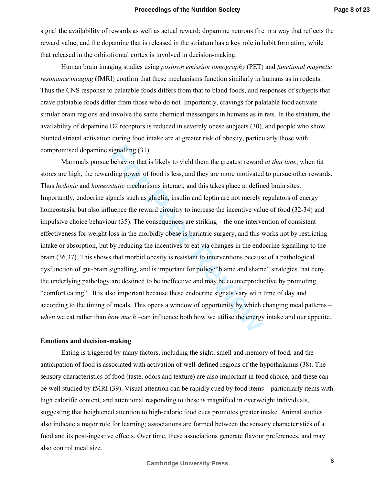signal the availability of rewards as well as actual reward: dopamine neurons fire in a way that reflects the reward value, and the dopamine that is released in the striatum has a key role in habit formation, while that released in the orbitofrontal cortex is involved in decision-making.

Human brain imaging studies using *positron emission tomography* (PET) and *functional magnetic resonance imaging* (fMRI) confirm that these mechanisms function similarly in humans as in rodents. Thus the CNS response to palatable foods differs from that to bland foods, and responses of subjects that crave palatable foods differ from those who do not. Importantly, cravings for palatable food activate similar brain regions and involve the same chemical messengers in humans as in rats. In the striatum, the availability of dopamine D2 receptors is reduced in severely obese subjects (30), and people who show blunted striatal activation during food intake are at greater risk of obesity, particularly those with compromised dopamine signalling (31).

ignalling (31).<br>behavior that is likely to yield them the greatest reward<br>ding power of food is less, and they are more motivated<br>*static* mechanisms interact, and this takes place at define<br>gnals such as ghrelin, insulin Mammals pursue behavior that is likely to yield them the greatest reward *at that time*; when fat stores are high, the rewarding power of food is less, and they are more motivated to pursue other rewards. Thus *hedonic* and *homeostatic* mechanisms interact, and this takes place at defined brain sites. Importantly, endocrine signals such as ghrelin, insulin and leptin are not merely regulators of energy homeostasis, but also influence the reward circuitry to increase the incentive value of food (32-34) and impulsive choice behaviour (35). The consequences are striking – the one intervention of consistent effectiveness for weight loss in the morbidly obese is bariatric surgery, and this works not by restricting intake or absorption, but by reducing the incentives to eat via changes in the endocrine signalling to the brain (36,37). This shows that morbid obesity is resistant to interventions because of a pathological dysfunction of gut-brain signalling, and is important for policy:"blame and shame" strategies that deny the underlying pathology are destined to be ineffective and may be counterproductive by promoting "comfort eating". It is also important because these endocrine signals vary with time of day and according to the timing of meals. This opens a window of opportunity by which changing meal patterns – *when* we eat rather than *how much* –can influence both how we utilise the energy intake and our appetite.

#### **Emotions and decision-making**

Eating is triggered by many factors, including the sight, smell and memory of food, and the anticipation of food is associated with activation of well-defined regions of the hypothalamus(38). The sensory characteristics of food (taste, odors and texture) are also important in food choice, and these can be well studied by fMRI (39). Visual attention can be rapidly cued by food items – particularly items with high calorific content, and attentional responding to these is magnified in overweight individuals, suggesting that heightened attention to high-caloric food cues promotes greater intake. Animal studies also indicate a major role for learning; associations are formed between the sensory characteristics of a food and its post-ingestive effects. Over time, these associations generate flavour preferences, and may also control meal size.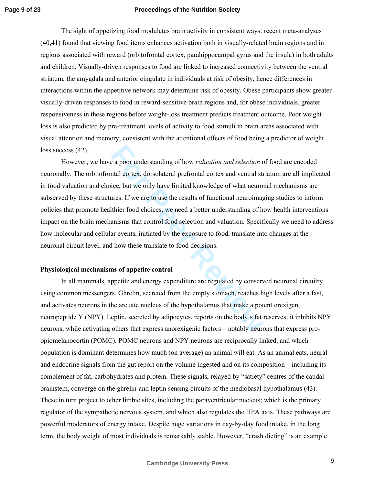The sight of appetizing food modulates brain activity in consistent ways: recent meta-analyses (40,41) found that viewing food items enhances activation both in visually-related brain regions and in regions associated with reward (orbitofrontal cortex, parahippocampal gyrus and the insula) in both adults and children. Visually-driven responses to food are linked to increased connectivity between the ventral striatum, the amygdala and anterior cingulate in individuals at risk of obesity, hence differences in interactions within the appetitive network may determine risk of obesity*.* Obese participants show greater visually-driven responses to food in reward-sensitive brain regions and, for obese individuals, greater responsiveness in these regions before weight-loss treatment predicts treatment outcome. Poor weight loss is also predicted by pre-treatment levels of activity to food stimuli in brain areas associated with visual attention and memory, consistent with the attentional effects of food being a predictor of weight loss success  $(42)$ .

Example a poor understanding of how *valuation and selection* ontal cortex, dorsolateral prefrontal cortex and ventral stice, but we only have limited knowledge of what neuromayes. If we are to use the results of functiona However, we have a poor understanding of how *valuation and selection* of food are encoded neuronally. The orbitofrontal cortex, dorsolateral prefrontal cortex and ventral striatum are all implicated in food valuation and choice, but we only have limited knowledge of what neuronal mechanisms are subserved by these structures. If we are to use the results of functional neuroimaging studies to inform policies that promote healthier food choices, we need a better understanding of how health interventions impact on the brain mechanisms that control food selection and valuation. Specifically we need to address how molecular and cellular events, initiated by the exposure to food, translate into changes at the neuronal circuit level, and how these translate to food decisions.

### **Physiological mechanisms of appetite control**

In all mammals, appetite and energy expenditure are regulated by conserved neuronal circuitry using common messengers. Ghrelin, secreted from the empty stomach, reaches high levels after a fast, and activates neurons in the arcuate nucleus of the hypothalamus that make a potent orexigen, neuropeptide Y (NPY). Leptin, secreted by adipocytes, reports on the body's fat reserves; it inhibits NPY neurons, while activating others that express anorexigenic factors – notably neurons that express proopiomelanocortin (POMC). POMC neurons and NPY neurons are reciprocally linked, and which population is dominant determines how much (on average) an animal will eat. As an animal eats, neural and endocrine signals from the gut report on the volume ingested and on its composition – including its complement of fat, carbohydrates and protein. These signals, relayed by "satiety" centres of the caudal brainstem, converge on the ghrelin-and leptin sensing circuits of the mediobasal hypothalamus (43). These in turn project to other limbic sites, including the paraventricular nucleus; which is the primary regulator of the sympathetic nervous system, and which also regulates the HPA axis. These pathways are powerful moderators of energy intake. Despite huge variations in day-by-day food intake, in the long term, the body weight of most individuals is remarkably stable. However, "crash dieting" is an example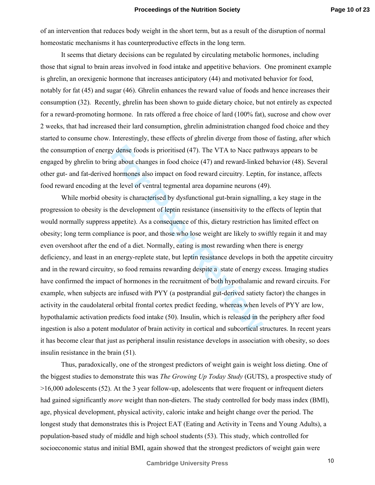of an intervention that reduces body weight in the short term, but as a result of the disruption of normal homeostatic mechanisms it has counterproductive effects in the long term.

It seems that dietary decisions can be regulated by circulating metabolic hormones, including those that signal to brain areas involved in food intake and appetitive behaviors. One prominent example is ghrelin, an orexigenic hormone that increases anticipatory (44) and motivated behavior for food, notably for fat (45) and sugar (46). Ghrelin enhances the reward value of foods and hence increases their consumption (32). Recently, ghrelin has been shown to guide dietary choice, but not entirely as expected for a reward-promoting hormone. In rats offered a free choice of lard (100% fat), sucrose and chow over 2 weeks, that had increased their lard consumption, ghrelin administration changed food choice and they started to consume chow. Interestingly, these effects of ghrelin diverge from those of fasting, after which the consumption of energy dense foods is prioritised (47). The VTA to Nacc pathways appears to be engaged by ghrelin to bring about changes in food choice (47) and reward-linked behavior (48). Several other gut- and fat-derived hormones also impact on food reward circuitry. Leptin, for instance, affects food reward encoding at the level of ventral tegmental area dopamine neurons (49).

y dense foods is prioritised (47). The VTA to Nacc path<br>the gabout changes in food choice (47) and reward-linked<br>hormones also impact on food reward circuitry. Leptin<br>the level of ventral tegmental area dopamine neurons (4 While morbid obesity is characterised by dysfunctional gut-brain signalling, a key stage in the progression to obesity is the development of leptin resistance (insensitivity to the effects of leptin that would normally suppress appetite). As a consequence of this, dietary restriction has limited effect on obesity; long term compliance is poor, and those who lose weight are likely to swiftly regain it and may even overshoot after the end of a diet. Normally, eating is most rewarding when there is energy deficiency, and least in an energy-replete state, but leptin resistance develops in both the appetite circuitry and in the reward circuitry, so food remains rewarding despite a state of energy excess. Imaging studies have confirmed the impact of hormones in the recruitment of both hypothalamic and reward circuits. For example, when subjects are infused with PYY (a postprandial gut-derived satiety factor) the changes in activity in the caudolateral orbital frontal cortex predict feeding, whereas when levels of PYY are low, hypothalamic activation predicts food intake (50). Insulin, which is released in the periphery after food ingestion is also a potent modulator of brain activity in cortical and subcortical structures. In recent years it has become clear that just as peripheral insulin resistance develops in association with obesity, so does insulin resistance in the brain (51).

Thus, paradoxically, one of the strongest predictors of weight gain is weight loss dieting. One of the biggest studies to demonstrate this was *The Growing Up Today Study* (GUTS), a prospective study of >16,000 adolescents (52). At the 3 year follow-up, adolescents that were frequent or infrequent dieters had gained significantly *more* weight than non-dieters. The study controlled for body mass index (BMI), age, physical development, physical activity, caloric intake and height change over the period. The longest study that demonstrates this is Project EAT (Eating and Activity in Teens and Young Adults), a population-based study of middle and high school students (53). This study, which controlled for socioeconomic status and initial BMI, again showed that the strongest predictors of weight gain were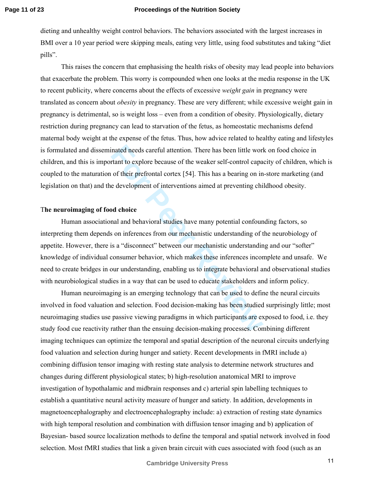dieting and unhealthy weight control behaviors. The behaviors associated with the largest increases in BMI over a 10 year period were skipping meals, eating very little, using food substitutes and taking "diet pills".

This raises the concern that emphasising the health risks of obesity may lead people into behaviors that exacerbate the problem. This worry is compounded when one looks at the media response in the UK to recent publicity, where concerns about the effects of excessive *weight gain* in pregnancy were translated as concern about *obesity* in pregnancy. These are very different; while excessive weight gain in pregnancy is detrimental, so is weight loss – even from a condition of obesity. Physiologically, dietary restriction during pregnancy can lead to starvation of the fetus, as homeostatic mechanisms defend maternal body weight at the expense of the fetus. Thus, how advice related to healthy eating and lifestyles is formulated and disseminated needs careful attention. There has been little work on food choice in children, and this is important to explore because of the weaker self-control capacity of children, which is coupled to the maturation of their prefrontal cortex [54]. This has a bearing on in-store marketing (and legislation on that) and the development of interventions aimed at preventing childhood obesity. T**he neuroimaging of food choice** 

inated needs careful attention. There has been little world trant to explore because of the weaker self-control capa of their prefrontal cortex [54]. This has a bearing on in e development of interventions aimed at prevent Human associational and behavioral studies have many potential confounding factors, so interpreting them depends on inferences from our mechanistic understanding of the neurobiology of appetite. However, there is a "disconnect" between our mechanistic understanding and our "softer" knowledge of individual consumer behavior, which makes these inferences incomplete and unsafe. We need to create bridges in our understanding, enabling us to integrate behavioral and observational studies with neurobiological studies in a way that can be used to educate stakeholders and inform policy.

Human neuroimaging is an emerging technology that can be used to define the neural circuits involved in food valuation and selection. Food decision-making has been studied surprisingly little; most neuroimaging studies use passive viewing paradigms in which participants are exposed to food, i.e. they study food cue reactivity rather than the ensuing decision-making processes. Combining different imaging techniques can optimize the temporal and spatial description of the neuronal circuits underlying food valuation and selection during hunger and satiety. Recent developments in fMRI include a) combining diffusion tensor imaging with resting state analysis to determine network structures and changes during different physiological states; b) high-resolution anatomical MRI to improve investigation of hypothalamic and midbrain responses and c) arterial spin labelling techniques to establish a quantitative neural activity measure of hunger and satiety. In addition, developments in magnetoencephalography and electroencephalography include: a) extraction of resting state dynamics with high temporal resolution and combination with diffusion tensor imaging and b) application of Bayesian- based source localization methods to define the temporal and spatial network involved in food selection. Most fMRI studies that link a given brain circuit with cues associated with food (such as an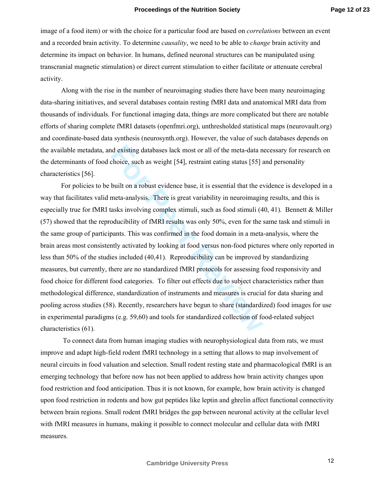image of a food item) or with the choice for a particular food are based on *correlations* between an event and a recorded brain activity. To determine *causality*, we need to be able to *change* brain activity and determine its impact on behavior. In humans, defined neuronal structures can be manipulated using transcranial magnetic stimulation) or direct current stimulation to either facilitate or attenuate cerebral activity.

Along with the rise in the number of neuroimaging studies there have been many neuroimaging data-sharing initiatives, and several databases contain resting fMRI data and anatomical MRI data from thousands of individuals. For functional imaging data, things are more complicated but there are notable efforts of sharing complete fMRI datasets (openfmri.org), unthresholded statistical maps (neurovault.org) and coordinate-based data synthesis (neurosynth.org). However, the value of such databases depends on the available metadata, and existing databases lack most or all of the meta-data necessary for research on the determinants of food choice, such as weight [54], restraint eating status [55] and personality characteristics [56].

d existing databases lack most or all of the meta-data n<br>choice, such as weight [54], restraint eating status [55] a<br>built on a robust evidence base, it is essential that the ev<br>meta-analysis. There is great variability in For policies to be built on a robust evidence base, it is essential that the evidence is developed in a way that facilitates valid meta-analysis.There is great variability in neuroimaging results, and this is especially true for fMRI tasks involving complex stimuli, such as food stimuli (40, 41). Bennett & Miller (57) showed that the reproducibility of fMRI results was only 50%, even for the same task and stimuli in the same group of participants. This was confirmed in the food domain in a meta-analysis, where the brain areas most consistently activated by looking at food versus non-food pictures where only reported in less than 50% of the studies included (40,41). Reproducibility can be improved by standardizing measures, but currently, there are no standardized fMRI protocols for assessing food responsivity and food choice for different food categories. To filter out effects due to subject characteristics rather than methodological difference, standardization of instruments and measures is crucial for data sharing and pooling across studies (58). Recently, researchers have begun to share (standardized) food images for use in experimental paradigms (e.g. 59,60) and tools for standardized collection of food-related subject characteristics (61).

 To connect data from human imaging studies with neurophysiological data from rats, we must improve and adapt high-field rodent fMRI technology in a setting that allows to map involvement of neural circuits in food valuation and selection. Small rodent resting state and pharmacological fMRI is an emerging technology that before now has not been applied to address how brain activity changes upon food restriction and food anticipation. Thus it is not known, for example, how brain activity is changed upon food restriction in rodents and how gut peptides like leptin and ghrelin affect functional connectivity between brain regions. Small rodent fMRI bridges the gap between neuronal activity at the cellular level with fMRI measures in humans, making it possible to connect molecular and cellular data with fMRI measures.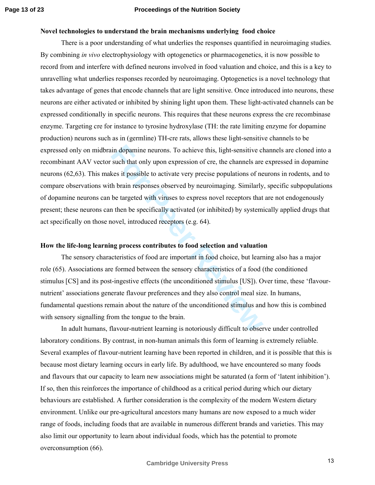### **Novel technologies to understand the brain mechanisms underlying food choice**

in dopamine neurons. To achieve this, light-sensitive cl<br>such that only upon expression of cre, the channels are<br>kes it possible to activate very precise populations of ne<br>the brain responses observed by neuroimaging. Simi There is a poor understanding of what underlies the responses quantified in neuroimaging studies. By combining *in vivo* electrophysiology with optogenetics or pharmacogenetics, it is now possible to record from and interfere with defined neurons involved in food valuation and choice, and this is a key to unravelling what underlies responses recorded by neuroimaging. Optogenetics is a novel technology that takes advantage of genes that encode channels that are light sensitive. Once introduced into neurons, these neurons are either activated or inhibited by shining light upon them. These light-activated channels can be expressed conditionally in specific neurons. This requires that these neurons express the cre recombinase enzyme. Targeting cre for instance to tyrosine hydroxylase (TH: the rate limiting enzyme for dopamine production) neurons such as in (germline) TH-cre rats, allows these light-sensitive channels to be expressed only on midbrain dopamine neurons. To achieve this, light-sensitive channels are cloned into a recombinant AAV vector such that only upon expression of cre, the channels are expressed in dopamine neurons (62,63). This makes it possible to activate very precise populations of neurons in rodents, and to compare observations with brain responses observed by neuroimaging. Similarly, specific subpopulations of dopamine neurons can be targeted with viruses to express novel receptors that are not endogenously present; these neurons can then be specifically activated (or inhibited) by systemically applied drugs that act specifically on those novel, introduced receptors (e.g. 64).

# **How the life-long learning process contributes to food selection and valuation**

The sensory characteristics of food are important in food choice, but learning also has a major role (65). Associations are formed between the sensory characteristics of a food (the conditioned stimulus [CS] and its post-ingestive effects (the unconditioned stimulus [US]). Over time, these 'flavournutrient' associations generate flavour preferences and they also control meal size. In humans, fundamental questions remain about the nature of the unconditioned stimulus and how this is combined with sensory signalling from the tongue to the brain.

In adult humans, flavour-nutrient learning is notoriously difficult to observe under controlled laboratory conditions. By contrast, in non-human animals this form of learning is extremely reliable. Several examples of flavour-nutrient learning have been reported in children, and it is possible that this is because most dietary learning occurs in early life. By adulthood, we have encountered so many foods and flavours that our capacity to learn new associations might be saturated (a form of 'latent inhibition'). If so, then this reinforces the importance of childhood as a critical period during which our dietary behaviours are established. A further consideration is the complexity of the modern Western dietary environment. Unlike our pre-agricultural ancestors many humans are now exposed to a much wider range of foods, including foods that are available in numerous different brands and varieties. This may also limit our opportunity to learn about individual foods, which has the potential to promote overconsumption (66).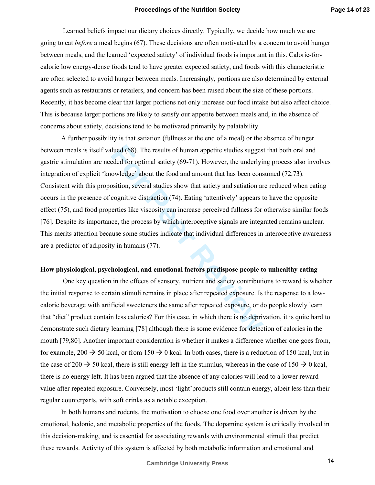Learned beliefs impact our dietary choices directly. Typically, we decide how much we are going to eat *before* a meal begins (67). These decisions are often motivated by a concern to avoid hunger between meals, and the learned 'expected satiety' of individual foods is important in this. Calorie-forcalorie low energy-dense foods tend to have greater expected satiety, and foods with this characteristic are often selected to avoid hunger between meals. Increasingly, portions are also determined by external agents such as restaurants or retailers, and concern has been raised about the size of these portions. Recently, it has become clear that larger portions not only increase our food intake but also affect choice. This is because larger portions are likely to satisfy our appetite between meals and, in the absence of concerns about satiety, decisions tend to be motivated primarily by palatability.

lued (68). The results of human appetite studies suggeseded for optimal satiety (69-71). However, the underlyineowledge' about the food and amount that has been consition, several studies show that satiety and satiation ar A further possibility is that satiation (fullness at the end of a meal) or the absence of hunger between meals is itself valued (68). The results of human appetite studies suggest that both oral and gastric stimulation are needed for optimal satiety (69-71). However, the underlying process also involves integration of explicit 'knowledge' about the food and amount that has been consumed (72,73). Consistent with this proposition, several studies show that satiety and satiation are reduced when eating occurs in the presence of cognitive distraction (74). Eating 'attentively' appears to have the opposite effect (75), and food properties like viscosity can increase perceived fullness for otherwise similar foods [76]. Despite its importance, the process by which interoceptive signals are integrated remains unclear. This merits attention because some studies indicate that individual differences in interoceptive awareness are a predictor of adiposity in humans (77).

# **How physiological, psychological, and emotional factors predispose people to unhealthy eating**

 One key question in the effects of sensory, nutrient and satiety contributions to reward is whether the initial response to certain stimuli remains in place after repeated exposure. Is the response to a lowcalorie beverage with artificial sweeteners the same after repeated exposure, or do people slowly learn that "diet" product contain less calories? For this case, in which there is no deprivation, it is quite hard to demonstrate such dietary learning [78] although there is some evidence for detection of calories in the mouth [79,80]. Another important consideration is whether it makes a difference whether one goes from, for example, 200  $\rightarrow$  50 kcal, or from 150  $\rightarrow$  0 kcal. In both cases, there is a reduction of 150 kcal, but in the case of 200  $\rightarrow$  50 kcal, there is still energy left in the stimulus, whereas in the case of 150  $\rightarrow$  0 kcal, there is no energy left. It has been argued that the absence of any calories will lead to a lower reward value after repeated exposure. Conversely, most 'light'products still contain energy, albeit less than their regular counterparts, with soft drinks as a notable exception.

 In both humans and rodents, the motivation to choose one food over another is driven by the emotional, hedonic, and metabolic properties of the foods. The dopamine system is critically involved in this decision-making, and is essential for associating rewards with environmental stimuli that predict these rewards. Activity of this system is affected by both metabolic information and emotional and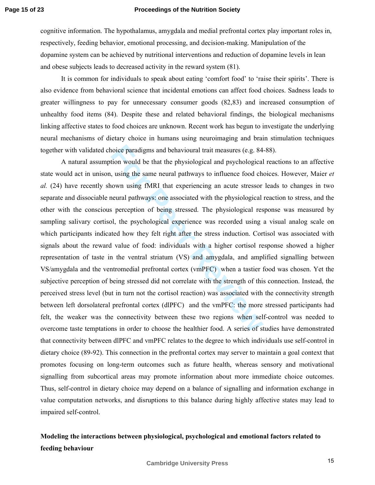cognitive information. The hypothalamus, amygdala and medial prefrontal cortex play important roles in, respectively, feeding behavior, emotional processing, and decision-making. Manipulation of the dopamine system can be achieved by nutritional interventions and reduction of dopamine levels in lean and obese subjects leads to decreased activity in the reward system (81).

It is common for individuals to speak about eating 'comfort food' to 'raise their spirits'. There is also evidence from behavioral science that incidental emotions can affect food choices. Sadness leads to greater willingness to pay for unnecessary consumer goods (82,83) and increased consumption of unhealthy food items (84). Despite these and related behavioral findings, the biological mechanisms linking affective states to food choices are unknown. Recent work has begun to investigate the underlying neural mechanisms of dietary choice in humans using neuroimaging and brain stimulation techniques together with validated choice paradigms and behavioural trait measures (e.g. 84-88).

noice paradigms and behavioural trait measures (e.g. 84<br>tion would be that the physiological and psychological<br>, using the same neural pathways to influence food ch<br>nown using fMRI that experiencing an acute stressor<br>neura A natural assumption would be that the physiological and psychological reactions to an affective state would act in unison, using the same neural pathways to influence food choices. However, Maier *et al.* (24) have recently shown using fMRI that experiencing an acute stressor leads to changes in two separate and dissociable neural pathways: one associated with the physiological reaction to stress, and the other with the conscious perception of being stressed. The physiological response was measured by sampling salivary cortisol, the psychological experience was recorded using a visual analog scale on which participants indicated how they felt right after the stress induction. Cortisol was associated with signals about the reward value of food: individuals with a higher cortisol response showed a higher representation of taste in the ventral striatum (VS) and amygdala, and amplified signalling between VS/amygdala and the ventromedial prefrontal cortex (vmPFC) when a tastier food was chosen. Yet the subjective perception of being stressed did not correlate with the strength of this connection. Instead, the perceived stress level (but in turn not the cortisol reaction) was associated with the connectivity strength between left dorsolateral prefrontal cortex (dlPFC) and the vmPFC: the more stressed participants had felt, the weaker was the connectivity between these two regions when self-control was needed to overcome taste temptations in order to choose the healthier food. A series of studies have demonstrated that connectivity between dlPFC and vmPFC relates to the degree to which individuals use self-control in dietary choice (89-92). This connection in the prefrontal cortex may server to maintain a goal context that promotes focusing on long-term outcomes such as future health, whereas sensory and motivational signalling from subcortical areas may promote information about more immediate choice outcomes. Thus, self-control in dietary choice may depend on a balance of signalling and information exchange in value computation networks, and disruptions to this balance during highly affective states may lead to impaired self-control.

# **Modeling the interactions between physiological, psychological and emotional factors related to feeding behaviour**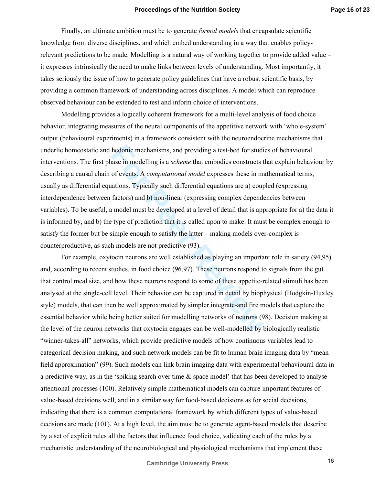Finally, an ultimate ambition must be to generate *formal models* that encapsulate scientific knowledge from diverse disciplines, and which embed understanding in a way that enables policyrelevant predictions to be made. Modelling is a natural way of working together to provide added value – it expresses intrinsically the need to make links between levels of understanding. Most importantly, it takes seriously the issue of how to generate policy guidelines that have a robust scientific basis, by providing a common framework of understanding across disciplines. A model which can reproduce observed behaviour can be extended to test and inform choice of interventions.

hedonic mechanisms, and providing a test-bed for studinase in modelling is a *scheme* that embodies constructs to f events. A *computational model* expresses these in mations. Typically such differential equations are a) c Modelling provides a logically coherent framework for a multi-level analysis of food choice behavior, integrating measures of the neural components of the appetitive network with 'whole-system' output (behavioural experiments) in a framework consistent with the neuroendocrine mechanisms that underlie homeostatic and hedonic mechanisms, and providing a test-bed for studies of behavioural interventions. The first phase in modelling is a *scheme* that embodies constructs that explain behaviour by describing a causal chain of events. A *computational model* expresses these in mathematical terms, usually as differential equations. Typically such differential equations are a) coupled (expressing interdependence between factors) and b) non-linear (expressing complex dependencies between variables). To be useful, a model must be developed at a level of detail that is appropriate for a) the data it is informed by, and b) the type of prediction that it is called upon to make. It must be complex enough to satisfy the former but be simple enough to satisfy the latter – making models over-complex is counterproductive, as such models are not predictive (93).

For example, oxytocin neurons are well established as playing an important role in satiety (94,95) and, according to recent studies, in food choice (96,97). These neurons respond to signals from the gut that control meal size, and how these neurons respond to some of these appetite-related stimuli has been analysed at the single-cell level. Their behavior can be captured in detail by biophysical (Hodgkin-Huxley style) models, that can then be well approximated by simpler integrate-and fire models that capture the essential behavior while being better suited for modelling networks of neurons (98). Decision making at the level of the neuron networks that oxytocin engages can be well-modelled by biologically realistic "winner-takes-all" networks, which provide predictive models of how continuous variables lead to categorical decision making, and such network models can be fit to human brain imaging data by "mean field approximation" (99). Such models can link brain imaging data with experimental behavioural data in a predictive way, as in the 'spiking search over time & space model' that has been developed to analyse attentional processes (100). Relatively simple mathematical models can capture important features of value-based decisions well, and in a similar way for food-based decisions as for social decisions, indicating that there is a common computational framework by which different types of value-based decisions are made (101). At a high level, the aim must be to generate agent-based models that describe by a set of explicit rules all the factors that influence food choice, validating each of the rules by a mechanistic understanding of the neurobiological and physiological mechanisms that implement these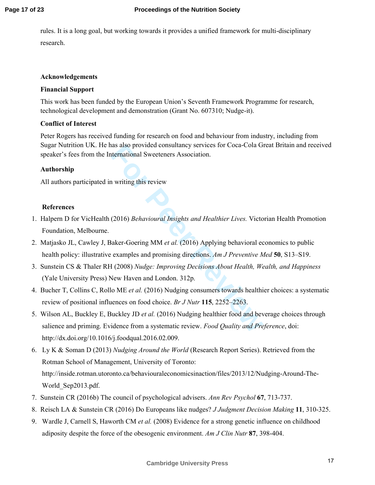rules. It is a long goal, but working towards it provides a unified framework for multi-disciplinary research.

# **Acknowledgements**

# **Financial Support**

This work has been funded by the European Union's Seventh Framework Programme for research, technological development and demonstration (Grant No. 607310; Nudge-it).

# **Conflict of Interest**

Peter Rogers has received funding for research on food and behaviour from industry, including from Sugar Nutrition UK. He has also provided consultancy services for Coca-Cola Great Britain and received speaker's fees from the International Sweeteners Association.

# **Authorship**

All authors participated in writing this review

# **References**

- 1. Halpern D for VicHealth (2016) *Behavioural Insights and Healthier Lives.* Victorian Health Promotion Foundation, Melbourne.
- 2. Matjasko JL, Cawley J, Baker-Goering MM *et al.* (2016) Applying behavioral economics to public health policy: illustrative examples and promising directions. *Am J Preventive Med* **50**, S13–S19.
- 3. Sunstein CS & Thaler RH (2008) *Nudge: Improving Decisions About Health, Wealth, and Happiness* (Yale University Press) New Haven and London. 312p.
- 4. Bucher T, Collins C, Rollo ME *et al.* (2016) Nudging consumers towards healthier choices: a systematic review of positional influences on food choice. *Br J Nutr* **115**, 2252–2263.
- as also provided consultancy services for Coca-Cola G<br>ternational Sweeteners Association.<br>1 writing this review<br>(2016) *Behavioural Insights and Healthier Lives*. Victo<br>iaker-Goering MM *et al.* (2016) Applying behavioral 5. Wilson AL, Buckley E, Buckley JD *et al.* (2016) Nudging healthier food and beverage choices through salience and priming. Evidence from a systematic review. *Food Quality and Preference*, doi: http://dx.doi.org/10.1016/j.foodqual.2016.02.009.
- 6. Ly K & Soman D (2013) *Nudging Around the World* (Research Report Series). Retrieved from the Rotman School of Management, University of Toronto: http://inside.rotman.utoronto.ca/behaviouraleconomicsinaction/files/2013/12/Nudging-Around-The-World\_Sep2013.pdf.
- 7. Sunstein CR (2016b) The council of psychological advisers. *Ann Rev Psychol* **67**, 713-737.
- 8. Reisch LA & Sunstein CR (2016) Do Europeans like nudges? *J Judgment Decision Making* **11**, 310-325.
- 9. Wardle J, Carnell S, Haworth CM *et al.* (2008) Evidence for a strong genetic influence on childhood adiposity despite the force of the obesogenic environment. *Am J Clin Nutr* **87**, 398-404.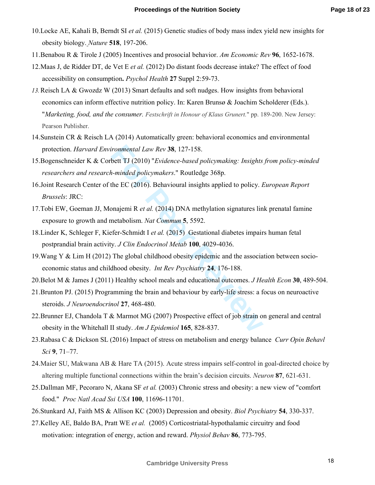- 10.Locke AE, Kahali B, Berndt SI *et al.* (2015) Genetic studies of body mass index yield new insights for obesity biology. *Nature* **518**, 197-206.
- 11.Benabou R & Tirole J (2005) Incentives and prosocial behavior. *Am Economic Rev* **96**, 1652-1678.
- 12.Maas J, de Ridder DT, de Vet E *et al.* (2012) Do distant foods decrease intake? The effect of food accessibility on consumption **.** *Psychol Health* **27** Suppl 2:59-73.
- *13.*Reisch LA & Gwozdz W (2013) Smart defaults and soft nudges. How insights from behavioral economics can inform effective nutrition policy. In: Karen Brunsø & Joachim Scholderer (Eds.). "*Marketing, food, and the consumer. Festschrift in Honour of Klaus Grunert.*" pp. 189-200. New Jersey: Pearson Publisher.
- 14.Sunstein CR & Reisch LA (2014) Automatically green: behavioral economics and environmental protection. *Harvard Environmental Law Rev* **38**, 127-158.
- 15.Bogenschneider K & Corbett TJ (2010) "*Evidence-based policymaking: Insights from policy-minded researchers and research-minded policymakers*." Routledge 368p.
- ironmental Law Rev **38**, 127-158.<br>
bett TJ (2010) "*Evidence-based policymaking: Insights*.<br>
h-minded policymakers." Routledge 368p.<br>
the EC (2016). Behavioural insights applied to policy. *L*<br>
onajemi R *et al.* (2014) DN 16.Joint Research Center of the EC (2016). Behavioural insights applied to policy. *European Report Brussels*: JRC:
- 17.Tobi EW, Goeman JJ, Monajemi R *et al.* (2014) DNA methylation signatures link prenatal famine exposure to growth and metabolism. *Nat Commun* **5**, 5592.
- 18.Linder K, Schleger F, Kiefer-Schmidt I *et al.* (2015) Gestational diabetes impairs human fetal postprandial brain activity. *J Clin Endocrinol Metab* **100**, 4029-4036.
- 19.Wang Y & Lim H (2012) The global childhood obesity epidemic and the association between socioeconomic status and childhood obesity. *Int Rev Psychiatry* **24**, 176-188.
- 20.Belot M & James J (2011) Healthy school meals and educational outcomes. *J Health Econ* **30**, 489-504.
- 21.Brunton PJ. (2015) Programming the brain and behaviour by early-life stress: a focus on neuroactive steroids. *J Neuroendocrinol* **27**, 468-480.
- 22.Brunner EJ, Chandola T & Marmot MG (2007) Prospective effect of job strain on general and central obesity in the Whitehall II study. *Am J Epidemiol* **165**, 828-837.
- 23.Rabasa C & Dickson SL (2016) Impact of stress on metabolism and energy balance *Curr Opin Behavl Sci* **9**, 71–77.
- 24.Maier SU, Makwana AB & Hare TA (2015). Acute stress impairs self-control in goal-directed choice by altering multiple functional connections within the brain's decision circuits. *Neuron* **87**, 621-631.
- 25.Dallman MF, Pecoraro N, Akana SF *et al.* (2003) Chronic stress and obesity: a new view of "comfort food." *Proc Natl Acad Ssi USA* **100**, 11696-11701.
- 26.Stunkard AJ, Faith MS & Allison KC (2003) Depression and obesity. *Biol Psychiatry* **54**, 330-337.
- 27.Kelley AE, Baldo BA, Pratt WE *et al.* (2005) Corticostriatal-hypothalamic circuitry and food motivation: integration of energy, action and reward. *Physiol Behav* **86**, 773-795.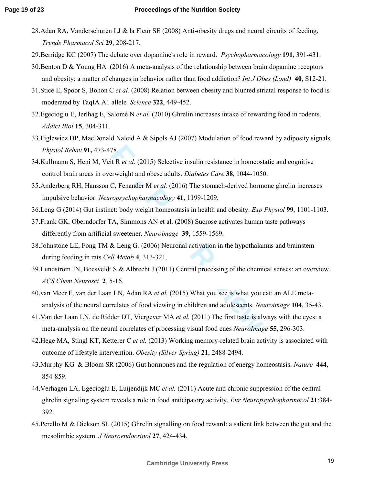- 28.Adan RA, Vanderschuren LJ & la Fleur SE (2008) Anti-obesity drugs and neural circuits of feeding. *Trends Pharmacol Sci* **29**, 208-217.
- 29.Berridge KC (2007) The debate over dopamine's role in reward. *Psychopharmacology* **191**, 391-431.
- 30.Benton D & Young HA (2016) A meta-analysis of the relationship between brain dopamine receptors and obesity: a matter of changes in behavior rather than food addiction? *Int J Obes (Lond)* **40**, S12-21.
- 31.Stice E, Spoor S, Bohon C *et al.* (2008) Relation between obesity and blunted striatal response to food is moderated by TaqIA A1 allele*. Science* **322**, 449-452.
- 32.Egecioglu E, Jerlhag E, Salomé N *et al.* (2010) Ghrelin increases intake of rewarding food in rodents. *Addict Biol* **15**, 304-311.
- 33.Figlewicz DP, MacDonald Naleid A & Sipols AJ (2007) Modulation of food reward by adiposity signals. *Physiol Behav* **91,** 473-478.
- 34.Kullmann S, Heni M, Veit R *et al.* (2015) Selective insulin resistance in homeostatic and cognitive control brain areas in overweight and obese adults. *Diabetes Care* **38**, 1044-1050.
- 35.Anderberg RH, Hansson C, Fenander M *et al.* (2016) The stomach-derived hormone ghrelin increases impulsive behavior. *Neuropsychopharmacology* **41**, 1199-1209.
- 36.Leng G (2014) Gut instinct: body weight homeostasis in health and obesity. *Exp Physiol* **99**, 1101-1103.
- 37.Frank GK, Oberndorfer TA, Simmons AN et al. (2008) Sucrose activates human taste pathways differently from artificial sweetener **.** *Neuroimage* **39**, 1559-1569.
- 38.Johnstone LE, Fong TM & Leng G*.* (2006) Neuronal activation in the hypothalamus and brainstem during feeding in rats *Cell Metab* **4**, 313-321.
- 78.<br>
It R *et al.* (2015) Selective insulin resistance in homeost<br>
Frweight and obese adults. *Diabetes Care* **38**, 1044-1050<br>
C, Fenander M *et al.* (2016) The stomach-derived horm<br> *ropsychopharmacology* **41**, 1199-1209. 39.Lundström JN, Boesveldt S & Albrecht J (2011) Central processing of the chemical senses: an overview. *ACS Chem Neurosci* **2**, 5-16.
- 40.van Meer F, van der Laan LN, Adan RA *et al.* (2015) What you see is what you eat: an ALE metaanalysis of the neural correlates of food viewing in children and adolescents. *Neuroimage* **104**, 35-43.
- 41.Van der Laan LN, de Ridder DT, Viergever MA *et al.* (2011) The first taste is always with the eyes: a meta-analysis on the neural correlates of processing visual food cues *NeuroImage* **55**, 296-303.
- 42.Hege MA, Stingl KT, Ketterer C *et al.* (2013) Working memory-related brain activity is associated with outcome of lifestyle intervention. *Obesity (Silver Spring)* **21**, 2488-2494.
- 43.Murphy KG & Bloom SR (2006) Gut hormones and the regulation of energy homeostasis. *Nature* **444**, 854-859.
- 44.Verhagen LA, Egecioglu E, Luijendijk MC *et al.* (2011) Acute and chronic suppression of the central ghrelin signaling system reveals a role in food anticipatory activity. *Eur Neuropsychopharmacol* **21**:384- 392.
- 45.Perello M & Dickson SL (2015) Ghrelin signalling on food reward: a salient link between the gut and the mesolimbic system. *J Neuroendocrinol* **27**, 424-434.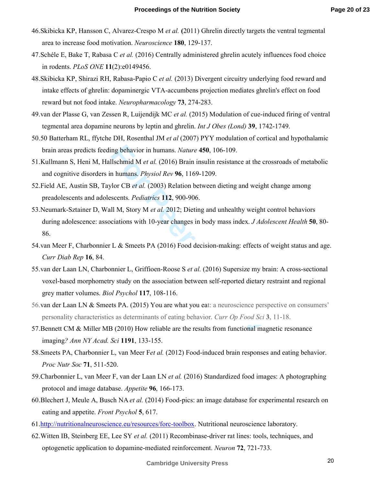- 46.Skibicka KP, Hansson C, Alvarez-Crespo M *et al.* **(**2011) Ghrelin directly targets the ventral tegmental area to increase food motivation. *Neuroscience* **180**, 129-137.
- 47.Schéle E, Bake T, Rabasa C *et al.* (2016) Centrally administered ghrelin acutely influences food choice in rodents. *PLoS ONE* **11**(2):e0149456.
- 48.Skibicka KP, Shirazi RH, Rabasa-Papio C *et al.* (2013) Divergent circuitry underlying food reward and intake effects of ghrelin: dopaminergic VTA-accumbens projection mediates ghrelin's effect on food reward but not food intake. *Neuropharmacology* **73**, 274-283.
- 49.van der Plasse G, van Zessen R, Luijendijk MC *et al.* (2015) Modulation of cue-induced firing of ventral tegmental area dopamine neurons by leptin and ghrelin. *Int J Obes (Lond)* **39**, 1742-1749.
- 50.50 Batterham RL, ffytche DH, Rosenthal JM *et al* (2007) PYY modulation of cortical and hypothalamic brain areas predicts feeding behavior in humans. *Nature* **450**, 106-109.
- 51.Kullmann S, Heni M, Hallschmid M *et al.* (2016) Brain insulin resistance at the crossroads of metabolic and cognitive disorders in humans. *Physiol Rev* **96**, 1169-1209.
- 52.Field AE, Austin SB, Taylor CB *et al.* (2003) Relation between dieting and weight change among preadolescents and adolescents. *Pediatrics* **112**, 900-906.
- 53.Neumark-Sztainer D, Wall M, Story M *et al.* 2012; Dieting and unhealthy weight control behaviors during adolescence: associations with 10-year changes in body mass index. *J Adolescent Health* **50**, 80- 86.
- 54.van Meer F, Charbonnier L & Smeets PA (2016) Food decision-making: effects of weight status and age. *Curr Diab Rep* **16**, 84.
- Ing behavior in humans. *Nature* **450**, 106-109.<br>
Ilschmid M *et al.* (2016) Brain insulin resistance at the combined M *et al.* (2016) Brain insulin resistance at the combined in humans. *Physiol Rev* **96**, 1169-1209.<br>
Fo 55.van der Laan LN, Charbonnier L, Griffioen-Roose S *et al.* (2016) Supersize my brain: A cross-sectional voxel-based morphometry study on the association between self-reported dietary restraint and regional grey matter volumes. *Biol Psychol* **117**, 108-116.
- 56.van der Laan LN & Smeets PA. (2015) You are what you eat: a neuroscience perspective on consumers' personality characteristics as determinants of eating behavior. *Curr Op Food Sci* **3**, 11-18.
- 57.Bennett CM & Miller MB (2010) How reliable are the results from functional magnetic resonance imaging *? Ann NY Acad. Sci* **1191**, 133-155.
- 58.Smeets PA, Charbonnier L, van Meer F*et al.* (2012) Food-induced brain responses and eating behavior. *Proc Nutr Soc* **71**, 511-520.
- 59.Charbonnier L, van Meer F, van der Laan LN *et al.* (2016) Standardized food images: A photographing protocol and image database. *Appetite* **96**, 166-173.
- 60.Blechert J, Meule A, Busch NA *et al.* (2014) Food-pics: an image database for experimental research on eating and appetite. *Front Psychol* **5**, 617.
- 61.http://nutritionalneuroscience.eu/resources/forc-toolbox. Nutritional neuroscience laboratory.
- 62.Witten IB, Steinberg EE, Lee SY *et al.* (2011) Recombinase-driver rat lines: tools, techniques, and optogenetic application to dopamine-mediated reinforcement. *Neuron* **72**, 721-733.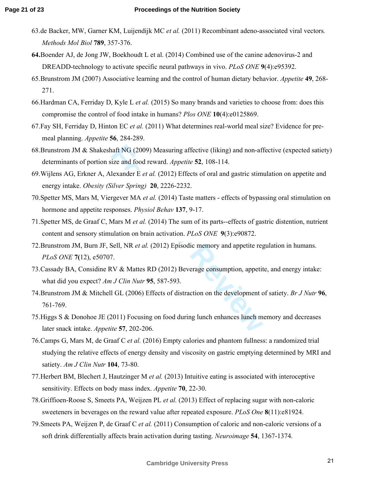- 63.de Backer, MW, Garner KM, Luijendijk MC *et al.* (2011) Recombinant adeno-associated viral vectors*. Methods Mol Biol* **789**, 357-376.
- **64.**Boender AJ, de Jong JW, Boekhoudt L et al. (2014) Combined use of the canine adenovirus-2 and DREADD-technology to activate specific neural pathways in vivo. *PLoS ONE*  **9**(4):e95392.
- 65.Brunstrom JM (2007) Associative learning and the control of human dietary behavior. *Appetite* **49**, 268- 271.
- 66.Hardman CA, Ferriday D, Kyle L *et al.* (2015) So many brands and varieties to choose from: does this compromise the control of food intake in humans? *Plos ONE* **10**(4):e0125869.
- 67.Fay SH, Ferriday D, Hinton EC *et al.* (2011) What determines real-world meal size? Evidence for premeal planning. *Appetite* **56**, 284-289.
- naft NG (2009) Measuring affective (liking) and non-aflize and food reward. *Appetite* **52**, 108-114.<br>
lexander E *et al.* (2012) Effects of oral and gastric stime<br> *For Spring*) **20**, 2226-2232.<br>
rgever MA *et al.* (2014) 68.Brunstrom JM & Shakeshaft NG (2009) Measuring affective (liking) and non-affective (expected satiety) determinants of portion size and food reward. *Appetite* **52**, 108-114.
- 69.Wijlens AG, Erkner A, Alexander E *et al.* (2012) Effects of oral and gastric stimulation on appetite and energy intake. *Obesity (Silver Spring)* **20**, 2226-2232.
- 70.Spetter MS, Mars M, Viergever MA *et al.* (2014) Taste matters effects of bypassing oral stimulation on hormone and appetite responses. *Physiol Behav* **137**, 9-17.
- 71.Spetter MS, de Graaf C, Mars M *et al.* (2014) The sum of its parts--effects of gastric distention, nutrient content and sensory stimulation on brain activation. *PLoS ONE* **9**(3):e90872.
- 72.Brunstrom JM, Burn JF, Sell, NR *et al.* (2012) Episodic memory and appetite regulation in humans. *PLoS ONE* **7(**12), e50707.
- 73.Cassady BA, Considine RV & Mattes RD (2012) Beverage consumption, appetite, and energy intake: what did you expect? *Am J Clin Nutr* **95**, 587-593.
- 74.Brunstrom JM & Mitchell GL (2006) Effects of distraction on the development of satiety. *Br J Nutr* **96**, 761-769.
- 75.Higgs S & Donohoe JE (2011) Focusing on food during lunch enhances lunch memory and decreases later snack intake. *Appetite* **57**, 202-206.
- 76.Camps G, Mars M, de Graaf C *et al.* (2016) Empty calories and phantom fullness: a randomized trial studying the relative effects of energy density and viscosity on gastric emptying determined by MRI and satiety. *Am J Clin Nutr* **104**, 73-80.
- 77.Herbert BM, Blechert J, Hautzinger M *et al.* (2013) Intuitive eating is associated with interoceptive sensitivity. Effects on body mass index. *Appetite* **70**, 22-30.
- 78.Griffioen-Roose S, Smeets PA, Weijzen PL *et al.* (2013) Effect of replacing sugar with non-caloric sweeteners in beverages on the reward value after repeated exposure. *PLoS One* **8**(11):e81924.
- 79.Smeets PA, Weijzen P, de Graaf C *et al.* (2011) Consumption of caloric and non-caloric versions of a soft drink differentially affects brain activation during tasting. *Neuroimage* **54**, 1367-1374.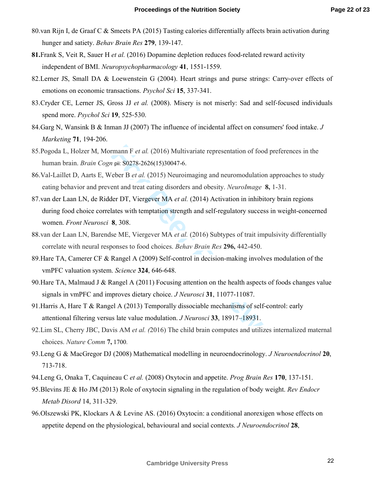- 80.van Rijn I, de Graaf C & Smeets PA (2015) Tasting calories differentially affects brain activation during hunger and satiety. *Behav Brain Res* **279**, 139-147.
- **81.**Frank S, Veit R, Sauer H *et al.* (2016) Dopamine depletion reduces food-related reward activity independent of BMI. *Neuropsychopharmacology* **41**, 1551-1559.
- 82.Lerner JS, Small DA & Loewenstein G (2004). Heart strings and purse strings: Carry ‐over effects of emotions on economic transactions. *Psychol Sci* **15**, 337 ‐341.
- 83.Cryder CE, Lerner JS, Gross JJ *et al.* (2008). Misery is not miserly: Sad and self-focused individuals spend more. *Psychol Sci* **19**, 525 ‐530.
- 84.Garg N, Wansink B & Inman JJ (2007) The influence of incidental affect on consumers' food intake. *J Marketing* **71**, 194 ‐206.
- 85.Pogoda L, Holzer M, Mormann F *et al.* (2016) Multivariate representation of food preferences in the human brain. *Brain Cogn* pii: S0278-2626(15)30047-6.
- 86.Val-Laillet D, Aarts E, Weber B *et al.* (2015) Neuroimaging and neuromodulation approaches to study eating behavior and prevent and treat eating disorders and obesity. *NeuroImage* **8,** 1-31.
- Framan F *et al.* (2016) Multivariate representation of footor pii: S0278-2626(15)30047-6.<br>
Feber B *et al.* (2015) Neuroimaging and neuromodulation ent and treat eating disorders and obesity. *NeuroImage* left DT, Vierge 87.van der Laan LN, de Ridder DT, Viergever MA *et al.* (2014) Activation in inhibitory brain regions during food choice correlates with temptation strength and self-regulatory success in weight-concerned women. *Front Neurosci* **8**, 308.
- 88.van der Laan LN, Barendse ME, Viergever MA *et al.* (2016) Subtypes of trait impulsivity differentially correlate with neural responses to food choices. *Behav Brain Res* **296,** 442-450.
- 89.Hare TA, Camerer CF & Rangel A (2009) Self-control in decision-making involves modulation of the vmPFC valuation system. *Science* **324**, 646-648.
- 90.Hare TA, Malmaud J & Rangel A (2011) Focusing attention on the health aspects of foods changes value signals in vmPFC and improves dietary choice. *J Neurosci* **31**, 11077-11087.
- 91.Harris A, Hare T & Rangel A (2013) Temporally dissociable mechanisms of self-control: early attentional filtering versus late value modulation. *J Neurosci* **33**, 18917–18931.
- 92.Lim SL, Cherry JBC, Davis AM *et al. (*2016) The child brain computes and utilizes internalized maternal choices. *Nature Comm* **7,** 1700.
- 93.Leng G & MacGregor DJ (2008) Mathematical modelling in neuroendocrinology. *J Neuroendocrinol* **20**, 713-718.
- 94.Leng G, Onaka T, Caquineau C *et al.* (2008) Oxytocin and appetite. *Prog Brain Res* **170**, 137-151.
- 95.Blevins JE & Ho JM (2013) Role of oxytocin signaling in the regulation of body weight. *Rev Endocr Metab Disord* 14, 311-329.
- 96.Olszewski PK, Klockars A & Levine AS. (2016) Oxytocin: a conditional anorexigen whose effects on appetite depend on the physiological, behavioural and social contexts. *J Neuroendocrinol* **28**,